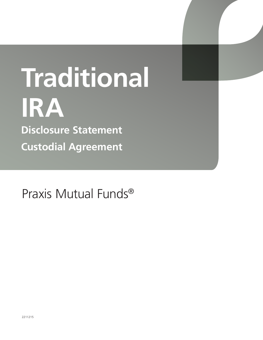# **Traditional IRA Disclosure Statement Custodial Agreement**

Praxis Mutual Funds®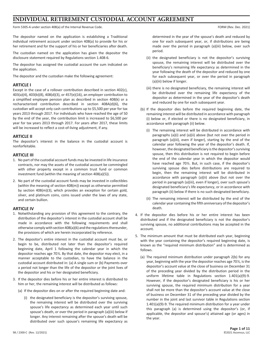## **INDIVIDUAL RETIREMENT CUSTODIAL ACCOUNT AGREEMENT**

Form 5305-A under section 408(a) of the Internal Revenue Code. The Internal Revenue Code. Form (Rev. Dec. 2021)

The depositor named on the application is establishing a Traditional individual retirement account under section 408(a) to provide for his or her retirement and for the support of his or her beneficiaries after death.

The custodian named on the application has given the depositor the disclosure statement required by Regulations section 1.408-6.

The depositor has assigned the custodial account the sum indicated on the application.

The depositor and the custodian make the following agreement:

#### **ARTICLE I**

Except in the case of a rollover contribution described in section 402(c), 403(a)(4), 403(b)(8), 408(d)(3), or 457(e)(16), an employer contribution to a simplified employee pension plan as described in section 408(k) or a recharacterized contribution described in section 408A(d)(6), the custodian will accept only cash contributions up to \$5,500 per year for tax years 2013 through 2017. For individuals who have reached the age of 50 by the end of the year, the contribution limit is increased to \$6,500 per year for tax years 2013 through 2017. For years after 2017, these limits will be increased to reflect a cost-of-living adjustment, if any.

#### **ARTICLE II**

The depositor's interest in the balance in the custodial account is nonforfeitable.

#### **ARTICLE III**

- 1. No part of the custodial account funds may be invested in life insurance contracts, nor may the assets of the custodial account be commingled with other property except in a common trust fund or common investment fund (within the meaning of section 408(a)(5)).
- 2. No part of the custodial account funds may be invested in collectibles (within the meaning of section 408(m)) except as otherwise permitted by section 408(m)(3), which provides an exception for certain gold, silver, and platinum coins, coins issued under the laws of any state, and certain bullion.

## **ARTICLE IV**

- 1. Notwithstanding any provision of this agreement to the contrary, the distribution of the depositor's interest in the custodial account shall be made in accordance with the following requirements and shall otherwise comply with section 408(a)(6) and the regulations thereunder, the provisions of which are herein incorporated by reference.
- 2. The depositor's entire interest in the custodial account must be, or begin to be, distributed not later than the depositor's required beginning date, April 1 following the calendar year in which the depositor reaches age 70½. By that date, the depositor may elect, in a manner acceptable to the custodian, to have the balance in the custodial account distributed in: (a) A single sum or (b) Payments over a period not longer than the life of the depositor or the joint lives of the depositor and his or her designated beneficiary.
- 3. If the depositor dies before his or her entire interest is distributed to him or her, the remaining interest will be distributed as follows:
	- (a) If the depositor dies on or after the required beginning date and:
		- (i) the designated beneficiary is the depositor's surviving spouse, the remaining interest will be distributed over the surviving spouse's life expectancy as determined each year until such spouse's death, or over the period in paragraph (a)(iii) below if longer. Any interest remaining after the spouse's death will be distributed over such spouse's remaining life expectancy as

determined in the year of the spouse's death and reduced by one for each subsequent year, or, if distributions are being made over the period in paragraph (a)(iii) below, over such period.

- (ii) the designated beneficiary is not the depositor's surviving spouse, the remaining interest will be distributed over the beneficiary's remaining life expectancy as determined in the year following the death of the depositor and reduced by one for each subsequent year, or over the period in paragraph (a)(iii) below if longer.
- (iii) there is no designated beneficiary, the remaining interest will be distributed over the remaining life expectancy of the depositor as determined in the year of the depositor's death and reduced by one for each subsequent year.
- (b) If the depositor dies before the required beginning date, the remaining interest will be distributed in accordance with paragraph (i) below or, if elected or there is no designated beneficiary, in accordance with paragraph (ii) below.
	- (i) The remaining interest will be distributed in accordance with paragraphs (a)(i) and (a)(ii) above (but not over the period in paragraph (a)(iii), even if longer), starting by the end of the calendar year following the year of the depositor's death. If, however, the designated beneficiary is the depositor's surviving spouse, then this distribution is not required to begin before the end of the calendar year in which the depositor would have reached age 70½. But, in such case, if the depositor's surviving spouse dies before distributions are required to begin, then the remaining interest will be distributed in accordance with paragraph (a)(ii) above (but not over the period in paragraph (a)(iii), even if longer), over such spouse's designated beneficiary's life expectancy, or in accordance with paragraph (ii) below if there is no such designated beneficiary.
	- (ii) The remaining interest will be distributed by the end of the calendar year containing the fifth anniversary of the depositor's death.
- 4. If the depositor dies before his or her entire interest has been distributed and if the designated beneficiary is not the depositor's surviving spouse, no additional contributions may be accepted in the account.
- 5. The minimum amount that must be distributed each year, beginning with the year containing the depositor's required beginning date, is known as the "required minimum distribution" and is determined as follows.
	- (a) The required minimum distribution under paragraph 2(b) for any year, beginning with the year the depositor reaches age 70½, is the depositor's account value at the close of business on December 31 of the preceding year divided by the distribution period in the uniform lifetime table in Regulations section 1.401(a)(9)-9. However, if the depositor's designated beneficiary is his or her surviving spouse, the required minimum distribution for a year shall not be more than the depositor's account value at the close of business on December 31 of the preceding year divided by the number in the joint and last survivor table in Regulations section 1.401(a)(9)-9. The required minimum distribution for a year under this paragraph (a) is determined using the depositor's (or, if applicable, the depositor and spouse's) attained age (or ages) in the year.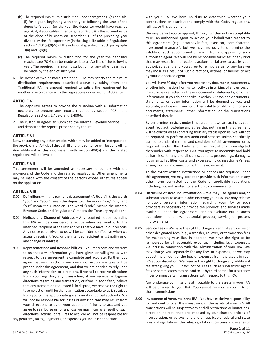- (b) The required minimum distribution under paragraphs 3(a) and 3(b) (i) for a year, beginning with the year following the year of the depositor's death (or the year the depositor would have reached age 70½, if applicable under paragraph 3(b)(i)) is the account value at the close of business on December 31 of the preceding year divided by the life expectancy (in the single life table in Regulations section 1.401(a)(9)-9) of the individual specified in such paragraphs 3(a) and 3(b)(i).
- (c) The required minimum distribution for the year the depositor reaches age 70½ can be made as late as April 1 of the following year. The required minimum distribution for any other year must be made by the end of such year.
- 6. The owner of two or more Traditional IRAs may satisfy the minimum distribution requirements described above by taking from one Traditional IRA the amount required to satisfy the requirement for another in accordance with the regulations under section 408(a)(6).

#### **ARTICLE V**

- 1. The depositor agrees to provide the custodian with all information necessary to prepare any reports required by section 408(i) and Regulations sections 1.408-5 and 1.408-6.
- 2. The custodian agrees to submit to the Internal Revenue Service (IRS) and depositor the reports prescribed by the IRS.

#### **ARTICLE VI**

Notwithstanding any other articles which may be added or incorporated, the provisions of Articles I through III and this sentence will be controlling. Any additional articles inconsistent with section 408(a) and the related regulations will be invalid.

#### **ARTICLE VII**

This agreement will be amended as necessary to comply with the provisions of the Code and the related regulations. Other amendments may be made with the consent of the persons whose signatures appear on the application.

#### **ARTICLE VIII**

- 8.01 **Definitions –** In this part of this agreement (Article VIII), the words "you" and "your" mean the depositor. The words "we," "us," and "our" mean the custodian. The word "Code" means the Internal Revenue Code, and "regulations" means the Treasury regulations.
- 8.02 **Notices and Change of Address –** Any required notice regarding this IRA will be considered effective when we send it to the intended recipient at the last address that we have in our records. Any notice to be given to us will be considered effective when we actually receive it. You, or the intended recipient, must notify us of any change of address.
- 8.03 **Representations and Responsibilities –** You represent and warrant to us that any information you have given or will give us with respect to this agreement is complete and accurate. Further, you agree that any directions you give us or action you take will be proper under this agreement, and that we are entitled to rely upon any such information or directions. If we fail to receive directions from you regarding any transaction, if we receive ambiguous directions regarding any transaction, or if we, in good faith, believe that any transaction requested is in dispute, we reserve the right to take no action until further clarification acceptable to us is received from you or the appropriate government or judicial authority. We will not be responsible for losses of any kind that may result from your directions to us or your actions or failures to act, and you agree to reimburse us for any loss we may incur as a result of such directions, actions, or failures to act. We will not be responsible for any penalties, taxes, judgments, or expenses you incur in connection

with your IRA. We have no duty to determine whether your contributions or distributions comply with the Code, regulations, rulings, or this agreement.

We may permit you to appoint, through written notice acceptable to us, an authorized agent to act on your behalf with respect to this agreement (e.g., attorney-in-fact, executor, administrator, investment manager), but we have no duty to determine the validity of such appointment or any instrument appointing such authorized agent. We will not be responsible for losses of any kind that may result from directions, actions, or failures to act by your authorized agent, and you agree to reimburse us for any loss we may incur as a result of such directions, actions, or failures to act by your authorized agent.

You will have 60 days after you receive any documents, statements, or other information from us to notify us in writing of any errors or inaccuracies reflected in these documents, statements, or other information. If you do not notify us within 60 days, the documents, statements, or other information will be deemed correct and accurate, and we will have no further liability or obligation for such documents, statements, other information, or the transactions described therein.

By performing services under this agreement we are acting as your agent. You acknowledge and agree that nothing in this agreement will be construed as conferring fiduciary status upon us. We will not be required to perform any additional services unless specifically agreed to under the terms and conditions of this agreement, or as required under the Code and the regulations promulgated thereunder with respect to IRAs. You agree to indemnify and hold us harmless for any and all claims, actions, proceedings, damages, judgments, liabilities, costs, and expenses, including attorney's fees arising from or in connection with this agreement.

To the extent written instructions or notices are required under this agreement, we may accept or provide such information in any other form permitted by the Code or applicable regulations including, but not limited to, electronic communication.

- 8.04 **Disclosure of Account Information –** We may use agents and/or subcontractors to assist in administering your IRA. We may release nonpublic personal information regarding your IRA to such providers as necessary to provide the products and services made available under this agreement, and to evaluate our business operations and analyze potential product, service, or process improvements.
- 8.05 **Service Fees –** We have the right to charge an annual service fee or other designated fees (e.g., a transfer, rollover, or termination fee) for maintaining your IRA. In addition, we have the right to be reimbursed for all reasonable expenses, including legal expenses, we incur in connection with the administration of your IRA. We may charge you separately for any fees or expenses, or we may deduct the amount of the fees or expenses from the assets in your IRA at our discretion. We reserve the right to charge any additional fee after giving you 30 days' notice. Fees such as subtransfer agent fees or commissions may be paid to us by third parties for assistance in performing certain transactions with respect to this IRA.

Any brokerage commissions attributable to the assets in your IRA will be charged to your IRA. You cannot reimburse your IRA for those commissions.

8.06 **Investment of Amounts in the IRA –** You have exclusive responsibility for and control over the investment of the assets of your IRA. All transactions will be subject to any and all restrictions or limitations, direct or indirect, that are imposed by our charter, articles of incorporation, or bylaws; any and all applicable federal and state laws and regulations; the rules, regulations, customs and usages of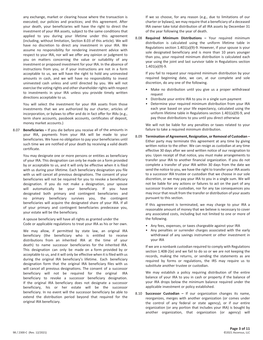any exchange, market or clearing house where the transaction is executed; our policies and practices; and this agreement. After your death, your beneficiaries will have the right to direct the investment of your IRA assets, subject to the same conditions that applied to you during your lifetime under this agreement (including, without limitation, Section 8.03 of this article). We will have no discretion to direct any investment in your IRA. We assume no responsibility for rendering investment advice with respect to your IRA, nor will we offer any opinion or judgment to you on matters concerning the value or suitability of any investment or proposed investment for your IRA. In the absence of instructions from you, or if your instructions are not in a form acceptable to us, we will have the right to hold any uninvested amounts in cash, and we will have no responsibility to invest uninvested cash unless and until directed by you. We will not exercise the voting rights and other shareholder rights with respect to investments in your IRA unless you provide timely written directions acceptable to us.

You will select the investment for your IRA assets from those investments that we are authorized by our charter, articles of incorporation, or bylaws to offer and do in fact offer for IRAs (e.g., term share accounts, passbook accounts, certificates of deposit, money market accounts.)

8.07 **Beneficiaries –** If you die before you receive all of the amounts in your IRA, payments from your IRA will be made to your beneficiaries. We have no obligation to pay your beneficiaries until such time we are notified of your death by receiving a valid death certificate.

You may designate one or more persons or entities as beneficiary of your IRA. This designation can only be made on a form provided by or acceptable to us, and it will only be effective when it is filed with us during your lifetime. Each beneficiary designation you file with us will cancel all previous designations. The consent of your beneficiaries will not be required for you to revoke a beneficiary designation. If you do not make a designation, your spouse will automatically be your beneficiary. If you have designated both primary and contingent beneficiaries and no primary beneficiary survives you, the contingent beneficiaries will acquire the designated share of your IRA. If all of your primary and contingent beneficiaries predecease you, your estate will be the beneficiary.

A spouse beneficiary will have all rights as granted under the Code or applicable regulations to treat your IRA as his or her own.

We may allow, if permitted by state law, an original IRA beneficiary (the beneficiary who is entitled to receive distributions from an inherited IRA at the time of your death) to name successor beneficiaries for the inherited IRA. This designation can only be made on a form provided by or acceptable to us, and it will only be effective when it is filed with us during the original IRA beneficiary's lifetime. Each beneficiary designation form that the original IRA beneficiary files with us will cancel all previous designations. The consent of a successor beneficiary will not be required for the original IRA beneficiary to revoke a successor beneficiary designation. If the original IRA beneficiary does not designate a successor beneficiary, his or her estate will be the successor beneficiary. In no event will the successor beneficiary be able to extend the distribution period beyond that required for the original IRA beneficiary.

If we so choose, for any reason (e.g., due to limitations of our charter or bylaws), we may require that a beneficiary of a deceased IRA owner take total distribution of all IRA assets by December 31 of the year following the year of death.

8.08 **Required Minimum Distributions –** Your required minimum distribution is calculated using the uniform lifetime table in Regulations section 1.401(a)(9)-9. However, if your spouse is your sole designated beneficiary and is more than 10 years younger than you, your required minimum distribution is calculated each year using the joint and last survivor table in Regulations section 1.401(a)(9)-9.

If you fail to request your required minimum distribution by your required beginning date, we can, at our complete and sole discretion, do any one of the following.

- Make no distribution until you give us a proper withdrawal request
- Distribute your entire IRA to you in a single sum payment
- Determine your required minimum distribution from your IRA each year based on your life expectancy, calculated using the uniform lifetime table in Regulations section 1.401(a)(9)-9, and pay those distributions to you until you direct otherwise

We will not be liable for any penalties or taxes related to your failure to take a required minimum distribution.

8.09 **Termination of Agreement, Resignation, or Removal of Custodian –** Either party may terminate this agreement at any time by giving written notice to the other. We can resign as custodian at any time effective 30 days after we send written notice of our resignation to you. Upon receipt of that notice, you must make arrangements to transfer your IRA to another financial organization. If you do not complete a transfer of your IRA within 30 days from the date we send the notice to you, we have the right to transfer your IRA assets to a successor IRA trustee or custodian that we choose in our sole discretion, or we may pay your IRA to you in a single sum. We will not be liable for any actions or failures to act on the part of any successor trustee or custodian, nor for any tax consequences you may incur that result from the transfer or distribution of your assets pursuant to this section.

If this agreement is terminated, we may charge to your IRA a reasonable amount of money that we believe is necessary to cover any associated costs, including but not limited to one or more of the following.

- Any fees, expenses, or taxes chargeable against your IRA
- Any penalties or surrender charges associated with the early withdrawal of any savings instrument or other investment in your IRA

If we are a nonbank custodian required to comply with Regulations section 1.408-2(e) and we fail to do so or we are not keeping the records, making the returns, or sending the statements as are required by forms or regulations, the IRS may require us to substitute another trustee or custodian.

We may establish a policy requiring distribution of the entire balance of your IRA to you in cash or property if the balance of your IRA drops below the minimum balance required under the applicable investment or policy established.

8.10 **Successor Custodian –** If our organization changes its name, reorganizes, merges with another organization (or comes under the control of any federal or state agency), or if our entire organization (or any portion that includes your IRA) is bought by another organization, that organization (or agency) will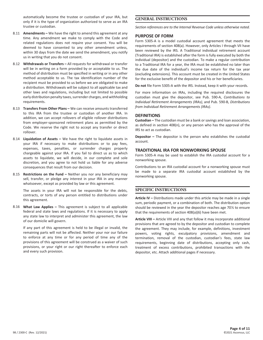automatically become the trustee or custodian of your IRA, but only if it is the type of organization authorized to serve as an IRA trustee or custodian.

- 8.11 **Amendments –** We have the right to amend this agreement at any time. Any amendment we make to comply with the Code and related regulations does not require your consent. You will be deemed to have consented to any other amendment unless, within 30 days from the date we send the amendment, you notify us in writing that you do not consent.
- 8.12 **Withdrawals or Transfers –** All requests for withdrawal or transfer will be in writing on a form provided by or acceptable to us. The method of distribution must be specified in writing or in any other method acceptable to us. The tax identification number of the recipient must be provided to us before we are obligated to make a distribution. Withdrawals will be subject to all applicable tax and other laws and regulations, including but not limited to possible early distribution penalty taxes, surrender charges, and withholding requirements.
- 8.13 **Transfers From Other Plans –** We can receive amounts transferred to this IRA from the trustee or custodian of another IRA. In addition, we can accept rollovers of eligible rollover distributions from employer-sponsored retirement plans as permitted by the Code. We reserve the right not to accept any transfer or direct rollover.
- 8.14 **Liquidation of Assets –** We have the right to liquidate assets in your IRA if necessary to make distributions or to pay fees, expenses, taxes, penalties, or surrender charges properly chargeable against your IRA. If you fail to direct us as to which assets to liquidate, we will decide, in our complete and sole discretion, and you agree to not hold us liable for any adverse consequences that result from our decision.
- 8.15 **Restrictions on the Fund –** Neither you nor any beneficiary may sell, transfer, or pledge any interest in your IRA in any manner whatsoever, except as provided by law or this agreement.

The assets in your IRA will not be responsible for the debts, contracts, or torts of any person entitled to distributions under this agreement.

8.16 **What Law Applies –** This agreement is subject to all applicable federal and state laws and regulations. If it is necessary to apply any state law to interpret and administer this agreement, the law of our domicile will govern.

If any part of this agreement is held to be illegal or invalid, the remaining parts will not be affected. Neither your nor our failure to enforce at any time or for any period of time any of the provisions of this agreement will be construed as a waiver of such provisions, or your right or our right thereafter to enforce each and every such provision.

## **GENERAL INSTRUCTIONS**

*Section references are to the Internal Revenue Code unless otherwise noted.*

#### **PURPOSE OF FORM**

Form 5305-A is a model custodial account agreement that meets the requirements of section 408(a). However, only Articles I through VII have been reviewed by the IRS. A Traditional individual retirement account (Traditional IRA) is established after the form is fully executed by both the individual (depositor) and the custodian. To make a regular contribution to a Traditional IRA for a year, the IRA must be established no later than the due date of the individual's income tax return for the tax year (excluding extensions). This account must be created in the United States for the exclusive benefit of the depositor and his or her beneficiaries.

**Do not** file Form 5305-A with the IRS. Instead, keep it with your records.

For more information on IRAs, including the required disclosures the custodian must give the depositor, see Pub. 590-A, *Contributions to Individual Retirement Arrangements (IRAs)*, and Pub. 590-B, *Distributions from Individual Retirement Arrangements (IRAs)*.

#### **DEFINITIONS**

**Custodian –** The custodian must be a bank or savings and loan association, as defined in section 408(n), or any person who has the approval of the IRS to act as custodian.

**Depositor –** The depositor is the person who establishes the custodial account.

#### **TRADITIONAL IRA FOR NONWORKING SPOUSE**

Form 5305-A may be used to establish the IRA custodial account for a nonworking spouse.

Contributions to an IRA custodial account for a nonworking spouse must be made to a separate IRA custodial account established by the nonworking spouse.

#### **SPECIFIC INSTRUCTIONS**

**Article IV –** Distributions made under this article may be made in a single sum, periodic payment, or a combination of both. The distribution option should be reviewed in the year the depositor reaches age 70½ to ensure that the requirements of section 408(a)(6) have been met.

**Article VIII –** Article VIII and any that follow it may incorporate additional provisions that are agreed to by the depositor and custodian to complete the agreement. They may include, for example, definitions, investment powers, voting rights, exculpatory provisions, amendment and termination, removal of the custodian, custodian's fees, state law requirements, beginning date of distributions, accepting only cash, treatment of excess contributions, prohibited transactions with the depositor, etc. Attach additional pages if necessary.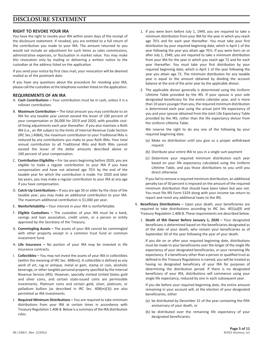# **DISCLOSURE STATEMENT**

#### **RIGHT TO REVOKE YOUR IRA**

You have the right to revoke your IRA within seven days of the receipt of the disclosure statement. If revoked, you are entitled to a full return of the contribution you made to your IRA. The amount returned to you would not include an adjustment for such items as sales commissions, administrative expenses, or fluctuation in market value. You may make this revocation only by mailing or delivering a written notice to the custodian at the address listed on the application.

If you send your notice by first class mail, your revocation will be deemed mailed as of the postmark date.

If you have any questions about the procedure for revoking your IRA, please call the custodian at the telephone number listed on the application.

#### **REQUIREMENTS OF AN IRA**

- A. **Cash Contributions –** Your contribution must be in cash, unless it is a rollover contribution.
- B. **Maximum Contribution –** The total amount you may contribute to an IRA for any taxable year cannot exceed the lesser of 100 percent of your compensation or \$6,000 for 2019 and 2020, with possible costof-living adjustments each year thereafter. If you also maintain a Roth IRA (i.e., an IRA subject to the limits of Internal Revenue Code Section (IRC Sec.) 408A), the maximum contribution to your Traditional IRAs is reduced by any contributions you make to your Roth IRAs. Your total annual contribution to all Traditional IRAs and Roth IRAs cannot exceed the lesser of the dollar amounts described above or 100 percent of your compensation.
- C. **Contribution Eligibility –** For tax years beginning before 2020, you are eligible to make a regular contribution to your IRA if you have compensation and have not attained age 70½ by the end of the taxable year for which the contribution is made. For 2020 and later tax years, you may make a regular contribution to your IRA at any age if you have compensation.
- D. **Catch-Up Contributions –** If you are age 50 or older by the close of the taxable year, you may make an additional contribution to your IRA. The maximum additional contribution is \$1,000 per year.
- E. **Nonforfeitability –** Your interest in your IRA is nonforfeitable.
- F. **Eligible Custodians –** The custodian of your IRA must be a bank, savings and loan association, credit union, or a person or entity approved by the Secretary of the Treasury.
- G. **Commingling Assets –** The assets of your IRA cannot be commingled with other property except in a common trust fund or common investment fund.
- H. **Life Insurance –** No portion of your IRA may be invested in life insurance contracts.
- I. **Collectibles –** You may not invest the assets of your IRA in collectibles (within the meaning of IRC Sec. 408(m)). A collectible is defined as any work of art, rug or antique, metal or gem, stamp or coin, alcoholic beverage, or other tangible personal property specified by the Internal Revenue Service (IRS). However, specially minted United States gold and silver coins, and certain state-issued coins are permissible investments. Platinum coins and certain gold, silver, platinum, or palladium bullion (as described in IRC Sec. 408(m)(3)) are also permitted as IRA investments.
- J. **Required Minimum Distributions –** You are required to take minimum distributions from your IRA at certain times in accordance with Treasury Regulation 1.408-8. Below is a summary of the IRA distribution rules.
- 1. If you were born before July 1, 1949, you are required to take a minimum distribution from your IRA for the year in which you reach age 70½ and for each year thereafter. You must take your first distribution by your required beginning date, which is April 1 of the year following the year you attain age 70½. If you were born on or after July 1, 1949, you are required to take a minimum distribution from your IRA for the year in which you reach age 72 and for each year thereafter. You must take your first distribution by your required beginning date, which is April 1 of the year following the year you attain age 72. The minimum distribution for any taxable year is equal to the amount obtained by dividing the account balance at the end of the prior year by the applicable divisor.
- 2. The applicable divisor generally is determined using the Uniform Lifetime Table provided by the IRS. If your spouse is your sole designated beneficiary for the entire calendar year, and is more than 10 years younger than you, the required minimum distribution is determined each year using the actual joint life expectancy of you and your spouse obtained from the Joint Life Expectancy Table provided by the IRS, rather than the life expectancy divisor from the Uniform Lifetime Table.

We reserve the right to do any one of the following by your required beginning date.

- (a) Make no distribution until you give us a proper withdrawal request
- (b) Distribute your entire IRA to you in a single sum payment
- (c) Determine your required minimum distribution each year based on your life expectancy calculated using the Uniform Lifetime Table, and pay those distributions to you until you direct otherwise

If you fail to remove a required minimum distribution, an additional penalty tax of 50 percent is imposed on the amount of the required minimum distribution that should have been taken but was not. You must file IRS Form 5329 along with your income tax return to report and remit any additional taxes to the IRS.

- K. **Beneficiary Distributions –** Upon your death, your beneficiaries are required to take distributions according to IRC Sec. 401(a)(9) and Treasury Regulation 1.408-8. These requirements are described below.
	- 1. **Death of IRA Owner Before January 1, 2020 –** Your designated beneficiary is determined based on the beneficiaries designated as of the date of your death, who remain your beneficiaries as of September 30 of the year following the year of your death.

If you die on or after your required beginning date, distributions must be made to your beneficiaries over the longer of the single life expectancy of your designated beneficiaries, or your remaining life expectancy. If a beneficiary other than a person or qualified trust as defined in the Treasury Regulations is named, you will be treated as having no designated beneficiary of your IRA for purposes of determining the distribution period. If there is no designated beneficiary of your IRA, distributions will commence using your single life expectancy, reduced by one in each subsequent year.

If you die before your required beginning date, the entire amount remaining in your account will, at the election of your designated beneficiaries, either

- (a) be distributed by December 31 of the year containing the fifth anniversary of your death, or
- (b) be distributed over the remaining life expectancy of your designated beneficiaries.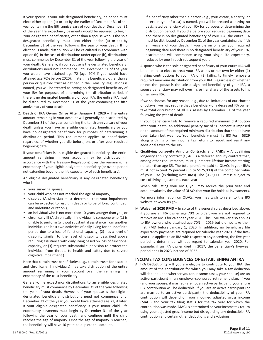If your spouse is your sole designated beneficiary, he or she must elect either option (a) or (b) by the earlier of December 31 of the year containing the fifth anniversary of your death, or December 31 of the year life expectancy payments would be required to begin. Your designated beneficiaries, other than a spouse who is the sole designated beneficiary, must elect either option (a) or (b) by December 31 of the year following the year of your death. If no election is made, distribution will be calculated in accordance with option (b). In the case of distributions under option (b), distributions must commence by December 31 of the year following the year of your death. Generally, if your spouse is the designated beneficiary, distributions need not commence until December 31 of the year you would have attained age 72 (age 70½ if you would have attained age 70½ before 2020), if later. If a beneficiary other than a person or qualified trust as defined in the Treasury Regulations is named, you will be treated as having no designated beneficiary of your IRA for purposes of determining the distribution period. If there is no designated beneficiary of your IRA, the entire IRA must be distributed by December 31 of the year containing the fifth anniversary of your death.

2. **Death of IRA Owner On or After January 1, 2020 –** The entire amount remaining in your account will generally be distributed by December 31 of the year containing the tenth anniversary of your death unless you have an eligible designated beneficiary or you have no designated beneficiary for purposes of determining a distribution period. This requirement applies to beneficiaries regardless of whether you die before, on, or after your required beginning date.

If your beneficiary is an eligible designated beneficiary, the entire amount remaining in your account may be distributed (in accordance with the Treasury Regulations) over the remaining life expectancy of your eligible designated beneficiary (or over a period not extending beyond the life expectancy of such beneficiary).

An eligible designated beneficiary is any designated beneficiary who is

- your surviving spouse,
- your child who has not reached the age of majority,
- disabled (A physician must determine that your impairment can be expected to result in death or to be of long, continued, and indefinite duration.),
- an individual who is not more than 10 years younger than you, or
- chronically ill (A chronically ill individual is someone who (1) is unable to perform (without substantial assistance from another individual) at least two activities of daily living for an indefinite period due to a loss of functional capacity, (2) has a level of disability similar to the level of disability described above requiring assistance with daily living based on loss of functional capacity, or (3) requires substantial supervision to protect the individual from threats to health and safety due to severe cognitive impairment.)

Note that certain trust beneficiaries (e.g., certain trusts for disabled and chronically ill individuals) may take distribution of the entire amount remaining in your account over the remaining life expectancy of the trust beneficiary.

Generally, life expectancy distributions to an eligible designated beneficiary must commence by December 31 of the year following the year of your death. However, if your spouse is the eligible designated beneficiary, distributions need not commence until December 31 of the year you would have attained age 72, if later. If your eligible designated beneficiary is your minor child, life expectancy payments must begin by December 31 of the year following the year of your death and continue until the child reaches the age of majority. Once the age of majority is reached, the beneficiary will have 10 years to deplete the account.

If a beneficiary other than a person (e.g., your estate, a charity, or a certain type of trust) is named, you will be treated as having no designated beneficiary of your IRA for purposes of determining the distribution period. If you die before your required beginning date and there is no designated beneficiary of your IRA, the entire IRA must be distributed by December 31 of the year containing the fifth anniversary of your death. If you die on or after your required beginning date and there is no designated beneficiary of your IRA, distributions will commence using your single life expectancy, reduced by one in each subsequent year.

A spouse who is the sole designated beneficiary of your entire IRA will be deemed to elect to treat your IRA as his or her own by either (1) making contributions to your IRA or (2) failing to timely remove a required minimum distribution from your IRA. Regardless of whether or not the spouse is the sole designated beneficiary of your IRA, a spouse beneficiary may roll over his or her share of the assets to his or her own IRA.

If we so choose, for any reason (e.g., due to limitations of our charter or bylaws), we may require that a beneficiary of a deceased IRA owner take total distribution of all IRA assets by December 31 of the year following the year of death.

If your beneficiary fails to remove a required minimum distribution after your death, an additional penalty tax of 50 percent is imposed on the amount of the required minimum distribution that should have been taken but was not. Your beneficiary must file IRS Form 5329 along with his or her income tax return to report and remit any additional taxes to the IRS.

L. **Qualifying Longevity Annuity Contracts and RMDs –** A qualifying longevity annuity contract (QLAC) is a deferred annuity contract that, among other requirements, must guarantee lifetime income starting no later than age 85. The total premiums paid to QLACs in your IRAs must not exceed 25 percent (up to \$125,000) of the combined value of your IRAs (excluding Roth IRAs). The \$125,000 limit is subject to cost-of-living adjustments each year.

When calculating your RMD, you may reduce the prior year end account value by the value of QLACs that your IRA holds as investments.

For more information on QLACs, you may wish to refer to the IRS website at www.irs.gov.

M. **Waiver of 2020 RMD –** In spite of the general rules described above, if you are an IRA owner age 70½ or older, you are not required to remove an RMD for calendar year 2020. This RMD waiver also applies to IRA owners who attained age 70½ in 2019 but did not take their first RMD before January 1, 2020. In addition, no beneficiary life expectancy payments are required for calendar year 2020. If the fiveyear rule applies to an IRA with respect to any decedent, the five-year period is determined without regard to calendar year 2020. For example, if an IRA owner died in 2017, the beneficiary's five-year period ends in 2023 instead of 2022.

#### **INCOME TAX CONSEQUENCES OF ESTABLISHING AN IRA**

A. **IRA Deductibility –** If you are eligible to contribute to your IRA, the amount of the contribution for which you may take a tax deduction will depend upon whether you (or, in some cases, your spouse) are an active participant in an employer-sponsored retirement plan. If you (and your spouse, if married) are not an active participant, your entire IRA contribution will be deductible. If you are an active participant (or are married to an active participant), the deductibility of your IRA contribution will depend on your modified adjusted gross income (MAGI) and your tax filing status for the tax year for which the contribution was made. MAGI is determined on your income tax return using your adjusted gross income but disregarding any deductible IRA contribution and certain other deductions and exclusions.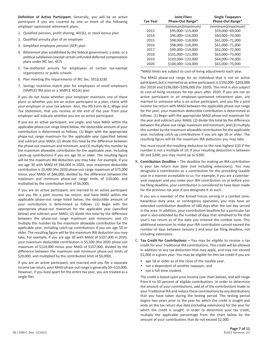**Definition of Active Participant.** Generally, you will be an active participant if you are covered by one or more of the following employer-sponsored retirement plans.

- 1. Qualified pension, profit sharing, 401(k), or stock bonus plan
- 2. Qualified annuity plan of an employer
- 3. Simplified employee pension (SEP) plan
- 4. Retirement plan established by the federal government, a state, or a political subdivision (except certain unfunded deferred compensation plans under IRC Sec. 457)
- 5. Tax-sheltered annuity for employees of certain tax-exempt organizations or public schools
- 6. Plan meeting the requirements of IRC Sec. 501(c)(18)
- 7. Savings incentive match plan for employees of small employers (SIMPLE) IRA plan or a SIMPLE 401(k) plan

If you do not know whether your employer maintains one of these plans or whether you are an active participant in a plan, check with your employer or your tax advisor. Also, the IRS Form W-2, *Wage and Tax Statement*, that you receive at the end of the year from your employer will indicate whether you are an active participant.

If you are an active participant, are single, and have MAGI within the applicable phase-out range listed below, the deductible amount of your contribution is determined as follows. (1) Begin with the appropriate phase-out range maximum for the applicable year (specified below) and subtract your MAGI; (2) divide this total by the difference between the phase-out maximum and minimum; and (3) multiply this number by the maximum allowable contribution for the applicable year, including catch-up contributions if you are age 50 or older. The resulting figure will be the maximum IRA deduction you may take. For example, if you are age 30 with MAGI of \$66,000 in 2020, your maximum deductible contribution is \$5,400 (the 2020 phase-out range maximum of \$75,000 minus your MAGI of \$66,000, divided by the difference between the maximum and minimum phase-out range limits of \$10,000, and multiplied by the contribution limit of \$6,000).

If you are an active participant, are married to an active participant and you file a joint income tax return, and have MAGI within the applicable phase-out range listed below, the deductible amount of your contribution is determined as follows. (1) Begin with the appropriate phase-out maximum for the applicable year (specified below) and subtract your MAGI; (2) divide this total by the difference between the phase-out range maximum and minimum; and (3) multiply this number by the maximum allowable contribution for the applicable year, including catch-up contributions if you are age 50 or older. The resulting figure will be the maximum IRA deduction you may take. For example, if you are age 30 with MAGI of \$107,000 in 2020, your maximum deductible contribution is \$5,100 (the 2020 phase-out maximum of \$124,000 minus your MAGI of \$107,000, divided by the difference between the maximum and minimum phase-out limits of \$20,000, and multiplied by the contribution limit of \$6,000).

If you are an active participant, are married and you file a separate income tax return, your MAGI phase-out range is generally \$0–\$10,000. However, if you lived apart for the entire tax year, you are treated as a single filer.

| <b>Tax Year</b> | <b>Joint Filers</b><br>Phase-Out Range* | <b>Single Taxpayers</b><br>Phase-Out Range* |
|-----------------|-----------------------------------------|---------------------------------------------|
|                 | (minimum)(maximum)                      | (minimum)(maximum)                          |
| 2013            | \$95,000-115,000                        | \$59,000-69,000                             |
| 2014            | \$96,000-116,000                        | \$60,000-70,000                             |
| 2015            | \$98,000-118,000                        | \$61,000-71,000                             |
| 2016            | \$98,000-118,000                        | \$61,000-71,000                             |
| 2017            | \$99,000-119,000                        | \$62,000-72,000                             |
| 2018            | \$101,000-121,000                       | \$63,000-73,000                             |
| 2019            | \$103,000-123,000                       | \$64,000-74,000                             |
| 2020            | \$104,000-124,000                       | \$65,000-75,000                             |

\*MAGI limits are subject to cost-of-living adjustments each year.

The MAGI phase-out range for an individual that is not an active participant, but is married to an active participant, is \$193,000–\$203,000 (for 2019) and \$196,000–\$206,000 (for 2020). This limit is also subject to cost-of-living increases for tax years after 2020. If you are not an active participant in an employer-sponsored retirement plan, are married to someone who is an active participant, and you file a joint income tax return with MAGI between the applicable phase-out range for the year, your maximum deductible contribution is determined as follows. (1) Begin with the appropriate MAGI phase-out maximum for the year and subtract your MAGI; (2) divide this total by the difference between the phase-out range maximum and minimum; and (3) multiply this number by the maximum allowable contribution for the applicable year, including catch-up contributions if you are age 50 or older. The resulting figure will be the maximum IRA deduction you may take.

You must round the resulting deduction to the next highest \$10 if the number is not a multiple of 10. If your resulting deduction is between \$0 and \$200, you may round up to \$200.

B. **Contribution Deadline –** The deadline for making an IRA contribution is your tax return due date (not including extensions). You may designate a contribution as a contribution for the preceding taxable year in a manner acceptable to us. For example, if you are a calendaryear taxpayer and you make your IRA contribution on or before your tax filing deadline, your contribution is considered to have been made for the previous tax year if you designate it as such.

If you are a member of the Armed Forces serving in a combat zone, hazardous duty area, or contingency operation, you may have an extended contribution deadline of 180 days after the last day served in the area. In addition, your contribution deadline for a particular tax year is also extended by the number of days that remained to file that year's tax return as of the date you entered the combat zone. This additional extension to make your IRA contribution cannot exceed the number of days between January 1 and your tax filing deadline, not including extensions.

- C. **Tax Credit for Contributions –** You may be eligible to receive a tax credit for your Traditional IRA contributions. This credit will be allowed in addition to any tax deduction that may apply, and may not exceed \$1,000 in a given year. You may be eligible for this tax credit if you are
	- age 18 or older as of the close of the taxable year,
	- not a dependent of another taxpayer, and
	- not a full-time student.

The credit is based upon your income (see chart below), and will range from 0 to 50 percent of eligible contributions. In order to determine the amount of your contributions, add all of the contributions made to your Traditional IRA and reduce these contributions by any distributions that you have taken during the testing period. The testing period begins two years prior to the year for which the credit is sought and ends on the tax return due date (including extensions) for the year for which the credit is sought. In order to determine your tax credit, multiply the applicable percentage from the chart below by the amount of your contributions that do not exceed \$2,000.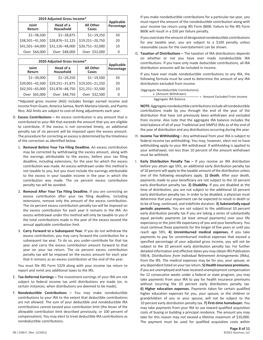| 2019 Adjusted Gross Income* |                        |                           |                          |
|-----------------------------|------------------------|---------------------------|--------------------------|
| Joint<br>Return             | Head of a<br>Household | <b>All Other</b><br>Cases | Applicable<br>Percentage |
| $$1 - 38,500$               | $$1 - 28,875$          | $$1 - 19,250$             | 50                       |
| \$38,501-41,500             | \$28,876-31,125        | \$19,251-20,750           | 20                       |
| \$41,501-64,000             | \$31,126-48,000        | \$20,751-32,000           | 10                       |
| Over \$64,000               | Over \$48,000          | Over \$32,000             | 0                        |

| 2020 Adjusted Gross Income* |                        |                           |                          |
|-----------------------------|------------------------|---------------------------|--------------------------|
| Joint<br>Return             | Head of a<br>Household | <b>All Other</b><br>Cases | Applicable<br>Percentage |
| $$1 - 39,000$               | $$1 - 29,250$          | $$1 - 19,500$             | 50                       |
| \$39,001-42,500             | \$29,251-31,875        | \$19,501-21,250           | 20                       |
| \$42,501-65,000             | \$31,876-48,750        | \$21,251-32,500           | 10                       |
| Over \$65,000               | Over \$48,750          | Over \$32,500             | O                        |

\*Adjusted gross income (AGI) includes foreign earned income and income from Guam, America Samoa, North Mariana Islands, and Puerto Rico. AGI limits are subject to cost-of-living adjustments each year.

- D. **Excess Contributions –** An excess contribution is any amount that is contributed to your IRA that exceeds the amount that you are eligible to contribute. If the excess is not corrected timely, an additional penalty tax of six percent will be imposed upon the excess amount. The procedure for correcting an excess is determined by the timeliness of the correction as identified below.
	- 1. **Removal Before Your Tax Filing Deadline.** An excess contribution may be corrected by withdrawing the excess amount, along with the earnings attributable to the excess, before your tax filing deadline, including extensions, for the year for which the excess contribution was made. An excess withdrawn under this method is not taxable to you, but you must include the earnings attributable to the excess in your taxable income in the year in which the contribution was made. The six percent excess contribution penalty tax will be avoided.
	- 2. **Removal After Your Tax Filing Deadline.** If you are correcting an excess contribution after your tax filing deadline, including extensions, remove only the amount of the excess contribution. The six percent excess contribution penalty tax will be imposed on the excess contribution for each year it remains in the IRA. An excess withdrawal under this method will only be taxable to you if the total contributions made in the year of the excess exceed the annual applicable contribution limit.
	- 3. **Carry Forward to a Subsequent Year.** If you do not withdraw the excess contribution, you may carry forward the contribution for a subsequent tax year. To do so, you under-contribute for that tax year and carry the excess contribution amount forward to that year on your tax return. The six percent excess contribution penalty tax will be imposed on the excess amount for each year that it remains as an excess contribution at the end of the year.

You must file IRS Form 5329 along with your income tax return to report and remit any additional taxes to the IRS.

- E. **Tax-Deferred Earnings –** The investment earnings of your IRA are not subject to federal income tax until distributions are made (or, in certain instances, when distributions are deemed to be made).
- F. **Nondeductible Contributions –** You may make nondeductible contributions to your IRA to the extent that deductible contributions are not allowed. The sum of your deductible and nondeductible IRA contributions cannot exceed your contribution limit (the lesser of the allowable contribution limit described previously, or 100 percent of compensation). You may elect to treat deductible IRA contributions as nondeductible contributions.

If you make nondeductible contributions for a particular tax year, you must report the amount of the nondeductible contribution along with your income tax return using IRS Form 8606. Failure to file IRS Form 8606 will result in a \$50 per failure penalty.

If you overstate the amount of designated nondeductible contributions for any taxable year, you are subject to a \$100 penalty unless reasonable cause for the overstatement can be shown.

G. **Taxation of Distributions –** The taxation of IRA distributions depends on whether or not you have ever made nondeductible IRA contributions. If you have only made deductible contributions, all IRA distribution amounts will be included in income.

If you have ever made nondeductible contributions to any IRA, the following formula must be used to determine the amount of any IRA distribution excluded from income.

| (Aggregate Nondeductible Contributions) |                               |
|-----------------------------------------|-------------------------------|
| x (Amount Withdrawn)                    |                               |
|                                         | = Amount Excluded From Income |

Aggregate IRA Balance **NOTE:** Aggregate nondeductible contributions include all nondeductible

contributions made by you through the end of the year of the distribution that have not previously been withdrawn and excluded from income. Also note that the aggregate IRA balance includes the total balance of all of your Traditional and SIMPLE IRAs as of the end of the year of distribution and any distributions occurring during the year.

- H. **Income Tax Withholding –** Any withdrawal from your IRA is subject to federal income tax withholding. You may, however, elect not to have withholding apply to your IRA withdrawal. If withholding is applied to your withdrawal, not less than 10 percent of the amount withdrawn must be withheld.
- I. **Early Distribution Penalty Tax –** If you receive an IRA distribution before you attain age 59½, an additional early distribution penalty tax of 10 percent will apply to the taxable amount of the distribution unless one of the following exceptions apply. **1) Death.** After your death, payments made to your beneficiary are not subject to the 10 percent early distribution penalty tax. **2) Disability.** If you are disabled at the time of distribution, you are not subject to the additional 10 percent early distribution penalty tax. In order to be disabled, a physician must determine that your impairment can be expected to result in death or to be of long, continued, and indefinite duration. **3) Substantially equal periodic payments.** You are not subject to the additional 10 percent early distribution penalty tax if you are taking a series of substantially equal periodic payments (at least annual payments) over your life expectancy or the joint life expectancy of you and your beneficiary. You must continue these payments for the longer of five years or until you reach age 59½. **4) Unreimbursed medical expenses.** If you take payments to pay for unreimbursed medical expenses that exceed a specified percentage of your adjusted gross income, you will not be subject to the 10 percent early distribution penalty tax. For further detailed information and effective dates you may obtain IRS Publication 590-B, *Distributions from Individual Retirement Arrangements (IRAs)*, from the IRS. The medical expenses may be for you, your spouse, or any dependent listed on your tax return. **5) Health insurance premiums.** If you are unemployed and have received unemployment compensation for 12 consecutive weeks under a federal or state program, you may take payments from your IRA to pay for health insurance premiums without incurring the 10 percent early distribution penalty tax. **6) Higher education expenses.** Payments taken for certain qualified higher education expenses for you, your spouse, or the children or grandchildren of you or your spouse, will not be subject to the 10 percent early distribution penalty tax. **7) First-time homebuyer.** You may take payments from your IRA to use toward qualified acquisition costs of buying or building a principal residence. The amount you may take for this reason may not exceed a lifetime maximum of \$10,000. The payment must be used for qualified acquisition costs within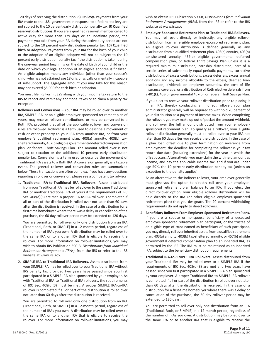120 days of receiving the distribution. **8) IRS levy.** Payments from your IRA made to the U.S. government in response to a federal tax levy are not subject to the 10 percent early distribution penalty tax. **9) Qualified reservist distributions.** If you are a qualified reservist member called to active duty for more than 179 days or an indefinite period, the payments you take from your IRA during the active duty period are not subject to the 10 percent early distribution penalty tax. **10) Qualified birth or adoption.** Payments from your IRA for the birth of your child or the adoption of an eligible adoptee will not be subject to the 10 percent early distribution penalty tax if the distribution is taken during the one-year period beginning on the date of birth of your child or the date on which your legal adoption of an eligible adoptee is finalized. An eligible adoptee means any individual (other than your spouse's child) who has not attained age 18 or is physically or mentally incapable of self-support. The aggregate amount you may take for this reason may not exceed \$5,000 for each birth or adoption.

You must file IRS Form 5329 along with your income tax return to the IRS to report and remit any additional taxes or to claim a penalty tax exception.

- J. **Rollovers and Conversions –** Your IRA may be rolled over to another IRA, SIMPLE IRA, or an eligible employer-sponsored retirement plan of yours, may receive rollover contributions, or may be converted to a Roth IRA, provided that all of the applicable rollover and conversion rules are followed. Rollover is a term used to describe a movement of cash or other property to your IRA from another IRA, or from your employer's qualified retirement plan, 403(a) annuity, 403(b) taxsheltered annuity, 457(b) eligible governmental deferred compensation plan, or federal Thrift Savings Plan. The amount rolled over is not subject to taxation or the additional 10 percent early distribution penalty tax. Conversion is a term used to describe the movement of Traditional IRA assets to a Roth IRA. A conversion generally is a taxable event. The general rollover and conversion rules are summarized below. These transactions are often complex. If you have any questions regarding a rollover or conversion, please see a competent tax advisor.
	- 1. **Traditional IRA-to-Traditional IRA Rollovers.** Assets distributed from your Traditional IRA may be rolled over to the same Traditional IRA or another Traditional IRA of yours if the requirements of IRC Sec. 408(d)(3) are met. A proper IRA-to-IRA rollover is completed if all or part of the distribution is rolled over not later than 60 days after the distribution is received. In the case of a distribution for a first-time homebuyer where there was a delay or cancellation of the purchase, the 60-day rollover period may be extended to 120 days.

You are permitted to roll over only one distribution from an IRA (Traditional, Roth, or SIMPLE) in a 12-month period, regardless of the number of IRAs you own. A distribution may be rolled over to the same IRA or to another IRA that is eligible to receive the rollover. For more information on rollover limitations, you may wish to obtain IRS Publication 590-B, *Distributions from Individual Retirement Arrangements (IRAs)*, from the IRS or refer to the IRS website at www.irs.gov.

2. **SIMPLE IRA-to-Traditional IRA Rollovers.** Assets distributed from your SIMPLE IRA may be rolled over to your Traditional IRA without IRS penalty tax provided two years have passed since you first participated in a SIMPLE IRA plan sponsored by your employer. As with Traditional IRA-to-Traditional IRA rollovers, the requirements of IRC Sec. 408(d)(3) must be met. A proper SIMPLE IRA-to-IRA rollover is completed if all or part of the distribution is rolled over not later than 60 days after the distribution is received.

You are permitted to roll over only one distribution from an IRA (Traditional, Roth, or SIMPLE) in a 12-month period, regardless of the number of IRAs you own. A distribution may be rolled over to the same IRA or to another IRA that is eligible to receive the rollover. For more information on rollover limitations, you may wish to obtain IRS Publication 590-B, *Distributions from Individual Retirement Arrangements (IRAs)*, from the IRS or refer to the IRS website at www.irs.gov.

3. **Employer-Sponsored Retirement Plan-to-Traditional IRA Rollovers.**  You may roll over, directly or indirectly, any eligible rollover distribution from an eligible employer-sponsored retirement plan. An eligible rollover distribution is defined generally as any distribution from a qualified retirement plan, 403(a) annuity, 403(b) tax-sheltered annuity, 457(b) eligible governmental deferred compensation plan, or federal Thrift Savings Plan unless it is a required minimum distribution, hardship distribution, part of a certain series of substantially equal periodic payments, corrective distributions of excess contributions, excess deferrals, excess annual additions and any income allocable to the excess, deemed loan distribution, dividends on employer securities, the cost of life insurance coverage, or a distribution of Roth elective deferrals from a 401(k), 403(b), governmental 457(b), or federal Thrift Savings Plan.

If you elect to receive your rollover distribution prior to placing it in an IRA, thereby conducting an indirect rollover, your plan administrator generally will be required to withhold 20 percent of your distribution as a payment of income taxes. When completing the rollover, you may make up out of pocket the amount withheld, and roll over the full amount distributed from your employersponsored retirement plan. To qualify as a rollover, your eligible rollover distribution generally must be rolled over to your IRA not later than 60 days after you receive the distribution. In the case of a plan loan offset due to plan termination or severance from employment, the deadline for completing the rollover is your tax return due date (including extensions) for the year in which the offset occurs. Alternatively, you may claim the withheld amount as income, and pay the applicable income tax, and if you are under age 59½, the 10 percent early distribution penalty tax (unless an exception to the penalty applies).

As an alternative to the indirect rollover, your employer generally must give you the option to directly roll over your employersponsored retirement plan balance to an IRA. If you elect the direct rollover option, your eligible rollover distribution will be paid directly to the IRA (or other eligible employer-sponsored retirement plan) that you designate. The 20 percent withholding requirements do not apply to direct rollovers.

- 4. **Beneficiary Rollovers From Employer-Sponsored Retirement Plans.** If you are a spouse or nonspouse beneficiary of a deceased employer-sponsored retirement plan participant, or the trustee of an eligible type of trust named as beneficiary of such participant, you may directly roll over inherited assets from a qualified retirement plan, 403(a) annuity, 403(b) tax-sheltered annuity, or 457(b) eligible governmental deferred compensation plan to an inherited IRA, as permitted by the IRS. The IRA must be maintained as an inherited IRA, subject to the beneficiary distribution requirements.
- 5. **Traditional IRA-to-SIMPLE IRA Rollovers.** Assets distributed from your Traditional IRA may be rolled over to a SIMPLE IRA if the requirements of IRC Sec. 408(d)(3) are met and two years have passed since you first participated in a SIMPLE IRA plan sponsored by your employer. A proper Traditional IRA-to-SIMPLE IRA rollover is completed if all or part of the distribution is rolled over not later than 60 days after the distribution is received. In the case of a distribution for a first-time homebuyer where there was a delay or cancellation of the purchase, the 60-day rollover period may be extended to 120 days.

You are permitted to roll over only one distribution from an IRA (Traditional, Roth, or SIMPLE) in a 12-month period, regardless of the number of IRAs you own. A distribution may be rolled over to the same IRA or to another IRA that is eligible to receive the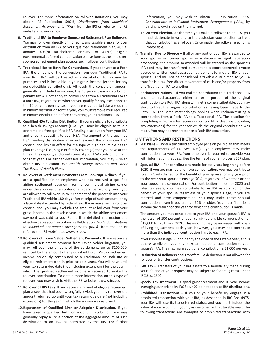rollover. For more information on rollover limitations, you may obtain IRS Publication 590-B, *Distributions from Individual Retirement Arrangements (IRAs)*, from the IRS or refer to the IRS website at www.irs.gov.

- 6. **Traditional IRA-to-Employer-Sponsored Retirement Plan Rollovers.**  You may roll over, directly or indirectly, any taxable eligible rollover distribution from an IRA to your qualified retirement plan, 403(a) annuity, 403(b) tax-sheltered annuity, or 457(b) eligible governmental deferred compensation plan as long as the employersponsored retirement plan accepts such rollover contributions.
- 7. **Traditional IRA-to-Roth IRA Conversions.** If you convert to a Roth IRA, the amount of the conversion from your Traditional IRA to your Roth IRA will be treated as a distribution for income tax purposes, and is includible in your gross income (except for any nondeductible contributions). Although the conversion amount generally is included in income, the 10 percent early distribution penalty tax will not apply to conversions from a Traditional IRA to a Roth IRA, regardless of whether you qualify for any exceptions to the 10 percent penalty tax. If you are required to take a required minimum distribution for the year, you must remove your required minimum distribution before converting your Traditional IRA.
- 8. **Qualified HSA Funding Distribution.** If you are eligible to contribute to a health savings account (HSA), you may be eligible to take a one-time tax-free qualified HSA funding distribution from your IRA and directly deposit it to your HSA. The amount of the qualified HSA funding distribution may not exceed the maximum HSA contribution limit in effect for the type of high deductible health plan coverage (i.e., single or family coverage) that you have at the time of the deposit, and counts toward your HSA contribution limit for that year. For further detailed information, you may wish to obtain IRS Publication 969, *Health Savings Accounts and Other Tax-Favored Health Plans*.
- 9. **Rollovers of Settlement Payments From Bankrupt Airlines.** If you are a qualified airline employee who has received a qualified airline settlement payment from a commercial airline carrier under the approval of an order of a federal bankruptcy court, you are allowed to roll over up to 90 percent of the proceeds into your Traditional IRA within 180 days after receipt of such amount, or by a later date if extended by federal law. If you make such a rollover contribution, you may exclude the amount rolled over from your gross income in the taxable year in which the airline settlement payment was paid to you. For further detailed information and effective dates you may obtain IRS Publication 590-A, *Contributions to Individual Retirement Arrangements (IRAs)*, from the IRS or refer to the IRS website at www.irs.gov.
- 10.**Rollovers of Exxon Valdez Settlement Payments.** If you receive a qualified settlement payment from Exxon Valdez litigation, you may roll over the amount of the settlement, up to \$100,000, reduced by the amount of any qualified Exxon Valdez settlement income previously contributed to a Traditional or Roth IRA or eligible retirement plan in prior taxable years. You will have until your tax return due date (not including extensions) for the year in which the qualified settlement income is received to make the rollover contribution. To obtain more information on this type of rollover, you may wish to visit the IRS website at www.irs.gov.
- 11.**Rollover of IRS Levy.** If you receive a refund of eligible retirement plan assets that had been wrongfully levied, you may roll over the amount returned up until your tax return due date (not including extensions) for the year in which the money was returned.
- 12.**Repayment of Qualified Birth or Adoption Distribution.** If you have taken a qualified birth or adoption distribution, you may generally repay all or a portion of the aggregate amount of such distribution to an IRA, as permitted by the IRS. For further

information, you may wish to obtain IRS Publication 590-A, C*ontributions to Individual Retirement Arrangements (IRAs)*, by visiting www.irs.gov on the Internet.

- 13.**Written Election.** At the time you make a rollover to an IRA, you must designate in writing to the custodian your election to treat that contribution as a rollover. Once made, the rollover election is irrevocable.
- K. **Transfer Due to Divorce –** If all or any part of your IRA is awarded to your spouse or former spouse in a divorce or legal separation proceeding, the amount so awarded will be treated as the spouse's IRA (and may be transferred pursuant to a court-approved divorce decree or written legal separation agreement to another IRA of your spouse), and will not be considered a taxable distribution to you. A transfer is a tax-free direct movement of cash and/or property from one Traditional IRA to another.
- L. **Recharacterizations –** If you make a contribution to a Traditional IRA and later recharacterize either all or a portion of the original contribution to a Roth IRA along with net income attributable, you may elect to treat the original contribution as having been made to the Roth IRA. The same methodology applies when recharacterizing a contribution from a Roth IRA to a Traditional IRA. The deadline for completing a recharacterization is your tax filing deadline (including any extensions) for the year for which the original contribution was made. You may not recharacterize a Roth IRA conversion.

#### **LIMITATIONS AND RESTRICTIONS**

- A. **SEP Plans –** Under a simplified employee pension (SEP) plan that meets the requirements of IRC Sec. 408(k), your employer may make contributions to your IRA. Your employer is required to provide you with information that describes the terms of your employer's SEP plan.
- B. **Spousal IRA –** For contributions made for tax years beginning before 2020, if you are married and have compensation, you may contribute to an IRA established for the benefit of your spouse for any year prior to the year your spouse turns age 70½, regardless of whether or not your spouse has compensation. For contributions made for 2020 and later tax years, you may contribute to an IRA established for the benefit of your spouse regardless of your spouse's age, if you are married and have compensation. You may make these spousal contributions even if you are age 70½ or older. You must file a joint income tax return for the year for which the contribution is made.

The amount you may contribute to your IRA and your spouse's IRA is the lesser of 100 percent of your combined eligible compensation or \$12,000 for 2019 and 2020. This amount may be increased with costof-living adjustments each year. However, you may not contribute more than the individual contribution limit to each IRA.

If your spouse is age 50 or older by the close of the taxable year, and is otherwise eligible, you may make an additional contribution to your spouse's IRA. The maximum additional contribution is \$1,000 per year.

- C. **Deduction of Rollovers and Transfers –** A deduction is not allowed for rollover or transfer contributions.
- D. **Gift Tax –** Transfers of your IRA assets to a beneficiary made during your life and at your request may be subject to federal gift tax under IRC Sec. 2501.
- E. **Special Tax Treatment –** Capital gains treatment and 10-year income averaging authorized by IRC Sec. 402 do not apply to IRA distributions.
- F. **Prohibited Transactions –** If you or your beneficiary engage in a prohibited transaction with your IRA, as described in IRC Sec. 4975, your IRA will lose its tax-deferred status, and you must include the value of your account in your gross income for that taxable year. The following transactions are examples of prohibited transactions with